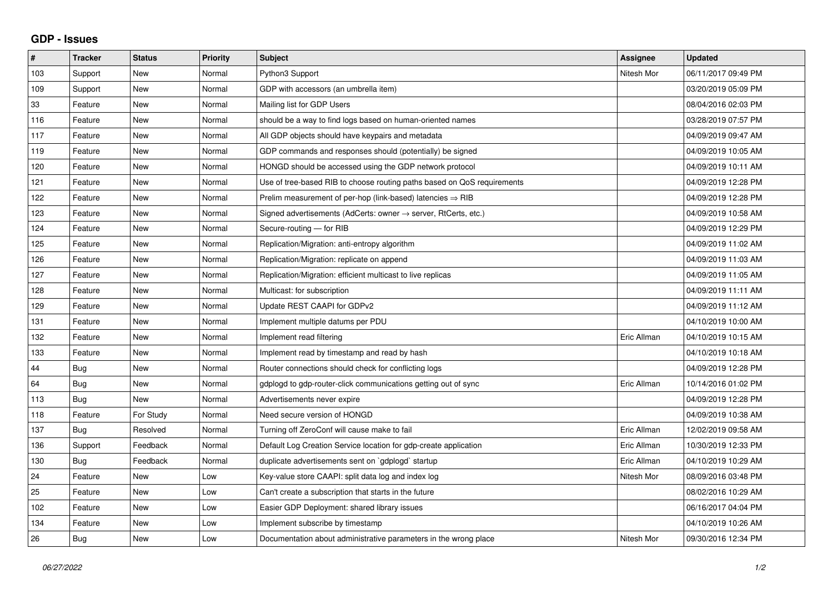## **GDP - Issues**

| $\#$ | <b>Tracker</b> | <b>Status</b> | Priority | <b>Subject</b>                                                             | Assignee    | <b>Updated</b>      |
|------|----------------|---------------|----------|----------------------------------------------------------------------------|-------------|---------------------|
| 103  | Support        | <b>New</b>    | Normal   | Python3 Support                                                            | Nitesh Mor  | 06/11/2017 09:49 PM |
| 109  | Support        | <b>New</b>    | Normal   | GDP with accessors (an umbrella item)                                      |             | 03/20/2019 05:09 PM |
| 33   | Feature        | <b>New</b>    | Normal   | Mailing list for GDP Users                                                 |             | 08/04/2016 02:03 PM |
| 116  | Feature        | <b>New</b>    | Normal   | should be a way to find logs based on human-oriented names                 |             | 03/28/2019 07:57 PM |
| 117  | Feature        | <b>New</b>    | Normal   | All GDP objects should have keypairs and metadata                          |             | 04/09/2019 09:47 AM |
| 119  | Feature        | <b>New</b>    | Normal   | GDP commands and responses should (potentially) be signed                  |             | 04/09/2019 10:05 AM |
| 120  | Feature        | <b>New</b>    | Normal   | HONGD should be accessed using the GDP network protocol                    |             | 04/09/2019 10:11 AM |
| 121  | Feature        | <b>New</b>    | Normal   | Use of tree-based RIB to choose routing paths based on QoS requirements    |             | 04/09/2019 12:28 PM |
| 122  | Feature        | <b>New</b>    | Normal   | Prelim measurement of per-hop (link-based) latencies $\Rightarrow$ RIB     |             | 04/09/2019 12:28 PM |
| 123  | Feature        | <b>New</b>    | Normal   | Signed advertisements (AdCerts: owner $\rightarrow$ server, RtCerts, etc.) |             | 04/09/2019 10:58 AM |
| 124  | Feature        | <b>New</b>    | Normal   | Secure-routing - for RIB                                                   |             | 04/09/2019 12:29 PM |
| 125  | Feature        | <b>New</b>    | Normal   | Replication/Migration: anti-entropy algorithm                              |             | 04/09/2019 11:02 AM |
| 126  | Feature        | <b>New</b>    | Normal   | Replication/Migration: replicate on append                                 |             | 04/09/2019 11:03 AM |
| 127  | Feature        | <b>New</b>    | Normal   | Replication/Migration: efficient multicast to live replicas                |             | 04/09/2019 11:05 AM |
| 128  | Feature        | <b>New</b>    | Normal   | Multicast: for subscription                                                |             | 04/09/2019 11:11 AM |
| 129  | Feature        | <b>New</b>    | Normal   | Update REST CAAPI for GDPv2                                                |             | 04/09/2019 11:12 AM |
| 131  | Feature        | <b>New</b>    | Normal   | Implement multiple datums per PDU                                          |             | 04/10/2019 10:00 AM |
| 132  | Feature        | New           | Normal   | Implement read filtering                                                   | Eric Allman | 04/10/2019 10:15 AM |
| 133  | Feature        | <b>New</b>    | Normal   | Implement read by timestamp and read by hash                               |             | 04/10/2019 10:18 AM |
| 44   | Bug            | <b>New</b>    | Normal   | Router connections should check for conflicting logs                       |             | 04/09/2019 12:28 PM |
| 64   | Bug            | <b>New</b>    | Normal   | gdplogd to gdp-router-click communications getting out of sync             | Eric Allman | 10/14/2016 01:02 PM |
| 113  | <b>Bug</b>     | <b>New</b>    | Normal   | Advertisements never expire                                                |             | 04/09/2019 12:28 PM |
| 118  | Feature        | For Study     | Normal   | Need secure version of HONGD                                               |             | 04/09/2019 10:38 AM |
| 137  | Bug            | Resolved      | Normal   | Turning off ZeroConf will cause make to fail                               | Eric Allman | 12/02/2019 09:58 AM |
| 136  | Support        | Feedback      | Normal   | Default Log Creation Service location for gdp-create application           | Eric Allman | 10/30/2019 12:33 PM |
| 130  | Bug            | Feedback      | Normal   | duplicate advertisements sent on `gdplogd` startup                         | Eric Allman | 04/10/2019 10:29 AM |
| 24   | Feature        | <b>New</b>    | Low      | Key-value store CAAPI: split data log and index log                        | Nitesh Mor  | 08/09/2016 03:48 PM |
| 25   | Feature        | <b>New</b>    | Low      | Can't create a subscription that starts in the future                      |             | 08/02/2016 10:29 AM |
| 102  | Feature        | <b>New</b>    | Low      | Easier GDP Deployment: shared library issues                               |             | 06/16/2017 04:04 PM |
| 134  | Feature        | <b>New</b>    | Low      | Implement subscribe by timestamp                                           |             | 04/10/2019 10:26 AM |
| 26   | Bug            | New           | Low      | Documentation about administrative parameters in the wrong place           | Nitesh Mor  | 09/30/2016 12:34 PM |